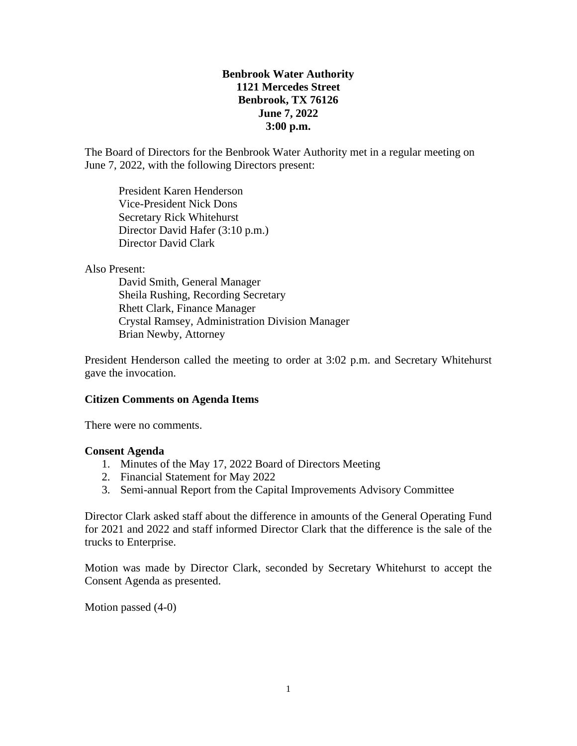# **Benbrook Water Authority 1121 Mercedes Street Benbrook, TX 76126 June 7, 2022 3:00 p.m.**

The Board of Directors for the Benbrook Water Authority met in a regular meeting on June 7, 2022, with the following Directors present:

President Karen Henderson Vice-President Nick Dons Secretary Rick Whitehurst Director David Hafer (3:10 p.m.) Director David Clark

#### Also Present:

David Smith, General Manager Sheila Rushing, Recording Secretary Rhett Clark, Finance Manager Crystal Ramsey, Administration Division Manager Brian Newby, Attorney

President Henderson called the meeting to order at 3:02 p.m. and Secretary Whitehurst gave the invocation.

## **Citizen Comments on Agenda Items**

There were no comments.

## **Consent Agenda**

- 1. Minutes of the May 17, 2022 Board of Directors Meeting
- 2. Financial Statement for May 2022
- 3. Semi-annual Report from the Capital Improvements Advisory Committee

Director Clark asked staff about the difference in amounts of the General Operating Fund for 2021 and 2022 and staff informed Director Clark that the difference is the sale of the trucks to Enterprise.

Motion was made by Director Clark, seconded by Secretary Whitehurst to accept the Consent Agenda as presented.

Motion passed (4-0)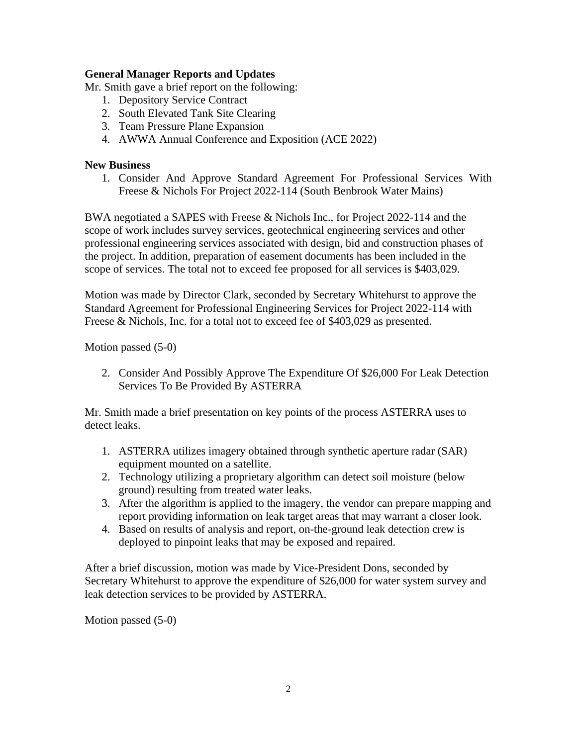## **General Manager Reports and Updates**

Mr. Smith gave a brief report on the following:

- 1. Depository Service Contract
- 2. South Elevated Tank Site Clearing
- 3. Team Pressure Plane Expansion
- 4. AWWA Annual Conference and Exposition (ACE 2022)

## **New Business**

1. Consider And Approve Standard Agreement For Professional Services With Freese & Nichols For Project 2022-114 (South Benbrook Water Mains)

BWA negotiated a SAPES with Freese & Nichols Inc., for Project 2022-114 and the scope of work includes survey services, geotechnical engineering services and other professional engineering services associated with design, bid and construction phases of the project. In addition, preparation of easement documents has been included in the scope of services. The total not to exceed fee proposed for all services is \$403,029.

Motion was made by Director Clark, seconded by Secretary Whitehurst to approve the Standard Agreement for Professional Engineering Services for Project 2022-114 with Freese & Nichols, Inc. for a total not to exceed fee of \$403,029 as presented.

Motion passed (5-0)

2. Consider And Possibly Approve The Expenditure Of \$26,000 For Leak Detection Services To Be Provided By ASTERRA

Mr. Smith made a brief presentation on key points of the process ASTERRA uses to detect leaks.

- 1. ASTERRA utilizes imagery obtained through synthetic aperture radar (SAR) equipment mounted on a satellite.
- 2. Technology utilizing a proprietary algorithm can detect soil moisture (below ground) resulting from treated water leaks.
- 3. After the algorithm is applied to the imagery, the vendor can prepare mapping and report providing information on leak target areas that may warrant a closer look.
- 4. Based on results of analysis and report, on-the-ground leak detection crew is deployed to pinpoint leaks that may be exposed and repaired.

After a brief discussion, motion was made by Vice-President Dons, seconded by Secretary Whitehurst to approve the expenditure of \$26,000 for water system survey and leak detection services to be provided by ASTERRA.

Motion passed (5-0)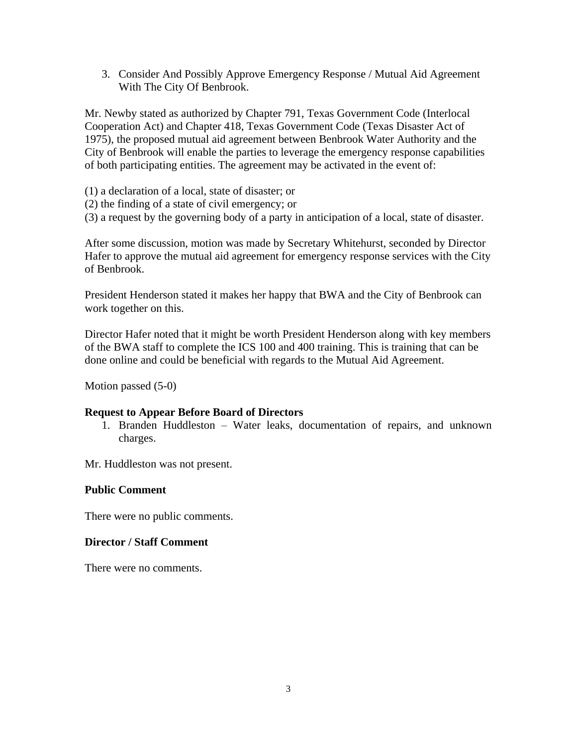3. Consider And Possibly Approve Emergency Response / Mutual Aid Agreement With The City Of Benbrook.

Mr. Newby stated as authorized by Chapter 791, Texas Government Code (Interlocal Cooperation Act) and Chapter 418, Texas Government Code (Texas Disaster Act of 1975), the proposed mutual aid agreement between Benbrook Water Authority and the City of Benbrook will enable the parties to leverage the emergency response capabilities of both participating entities. The agreement may be activated in the event of:

(1) a declaration of a local, state of disaster; or

(2) the finding of a state of civil emergency; or

(3) a request by the governing body of a party in anticipation of a local, state of disaster.

After some discussion, motion was made by Secretary Whitehurst, seconded by Director Hafer to approve the mutual aid agreement for emergency response services with the City of Benbrook.

President Henderson stated it makes her happy that BWA and the City of Benbrook can work together on this.

Director Hafer noted that it might be worth President Henderson along with key members of the BWA staff to complete the ICS 100 and 400 training. This is training that can be done online and could be beneficial with regards to the Mutual Aid Agreement.

Motion passed (5-0)

#### **Request to Appear Before Board of Directors**

1. Branden Huddleston – Water leaks, documentation of repairs, and unknown charges.

Mr. Huddleston was not present.

#### **Public Comment**

There were no public comments.

#### **Director / Staff Comment**

There were no comments.